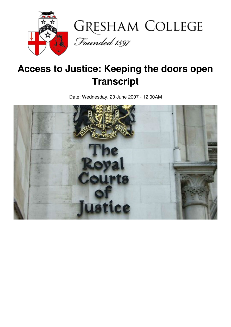

# **Access to Justice: Keeping the doors open Transcript**

Date: Wednesday, 20 June 2007 - 12:00AM

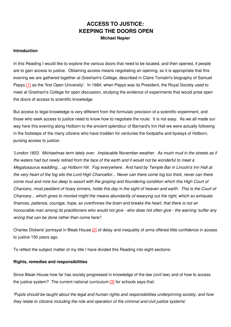# **ACCESS TO JUSTICE: KEEPING THE DOORS OPEN Michael Napier**

#### **Introduction**

In this Reading I would like to explore the various doors that need to be located, and then opened, if people are to gain access to justice. Obtaining access means negotiating an opening, so it is appropriate that this evening we are gathered together at Gresham's College, described in Claire Tomalin's biography of Samuel Pepys [\[1\]](http://www.gresham.ac.uk/event.asp?PageId=45&EventId=608#_ftn1#_ftn1) as the 'first Open University'. In 1684, when Pepys was its President, the Royal Society used to meet at Gresham's College for open discussion, studying the evidence of experiments that would prise open the doors of access to scientific knowledge.

But access to legal knowledge is very different from the formulaic precision of a scientific experiment, and those who seek access to justice need to know how to negotiate the route. It is not easy. As we all made our way here this evening along Holborn to the ancient splendour of Barnard's Inn Hall we were actually following in the footsteps of the many citizens who have trodden for centuries the footpaths and byways of Holborn, pursing access to justice:

*'London 1853. Michaelmas term lately over. Implacable November weather. As much mud in the streets as if* the waters had but newly retired from the face of the earth and it would not be wonderful to meet a *Megalosaurus waddling... up Holborn hill. Fog everywhere. And hard by Temple Bar in Lincoln's Inn Hall at* the very heart of the fog sits the Lord High Chancellor... Never can there come fog too thick, never can there come mud and mire too deep to assort with the groping and floundering condition which this High Court of Chancery, most pestilent of hoary sinners, holds this day in the sight of heaven and earth. This is the Court of *Chancery... which gives to monied might the means abundantly of wearying out the right, which so exhausts finances, patience, courage, hope, so overthrows the brain and breaks the heart, that there is not an* honourable man among its practitioners who would not give - who does not often give - the warning 'suffer any *wrong that can be done rather than come here!'.*

Charles Dickens' portrayal in Bleak House [\[2\]](http://www.gresham.ac.uk/event.asp?PageId=45&EventId=608#_ftn2#_ftn2) of delay and inequality of arms offered little confidence in access to justice 150 years ago.

To reflect the subject matter of my title I have divided this Reading into eight sections:

#### **Rights, remedies and responsibilities**

Since Bleak House how far has society progressed in knowledge of the law (civil law) and of how to access the justice system? The current national curriculum  $[3]$  for schools says that:

*'Pupils should be taught about the legal and human rights and responsibilities underpinning society, and how they relate to citizens including the role and operation of the criminal and civil justice systems'*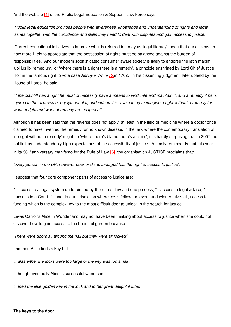And the website [\[4\]](http://www.gresham.ac.uk/event.asp?PageId=45&EventId=608#_ftn4#_ftn4) of the Public Legal Education & Support Task Force says:

*Public legal education provides people with awareness, knowledge and understanding of rights and legal* issues together with the confidence and skills they need to deal with disputes and gain access to justice.

Current educational initiatives to improve what is referred to today as 'legal literacy' mean that our citizens are now more likely to appreciate that the possession of rights must be balanced against the burden of responsibilities. And our modern sophisticated consumer aware society is likely to endorse the latin maxim 'ubi jus ibi remedium,' or 'where there is a right there is a remedy', a principle enshrined by Lord Chief Justice Holt in the famous right to vote case *Ashby v White [\[5\]](http://www.gresham.ac.uk/event.asp?PageId=45&EventId=608#_ftn5#_ftn5)*in 1702. In his dissenting judgment, later upheld by the House of Lords, he said:

'If the plaintiff has a right he must of necessity have a means to vindicate and maintain it, and a remedy if he is injured in the exercise or enjoyment of it; and indeed it is a vain thing to imagine a right without a remedy for *want of right and want of remedy are reciprocal'.*

Although it has been said that the reverse does not apply, at least in the field of medicine where a doctor once claimed to have invented the remedy for no known disease, in the law, where the contemporary translation of 'no right without a remedy' might be 'where there's blame there's a claim', it is hardly surprising that in 2007 the public has understandably high expectations of the accessibility of justice. A timely reminder is that this year, in its 50<sup>th</sup> anniversary manifesto for the Rule of Law [\[6\]](http://www.gresham.ac.uk/event.asp?PageId=45&EventId=608#_ftn6#_ftn6), the organisation JUSTICE proclaims that:

*'every person in the UK, however poor or disadvantaged has the right of access to justice'.*

I suggest that four core component parts of access to justice are:

\* access to a legal system underpinned by the rule of law and due process; \* access to legal advice; \* access to a Court; \* and, in our jurisdiction where costs follow the event and winner takes all, access to funding which is the complex key to the most difficult door to unlock in the search for justice.

Lewis Carroll's Alice in Wonderland may not have been thinking about access to justice when she could not discover how to gain access to the beautiful garden because:

*'There were doors all around the hall but they were all locked?'*

and then Alice finds a key but:

'...*alas either the locks were too large or the key was too small'.*

although eventually Alice is successful when she:

*'...tried the little golden key in the lock and to her great delight it fitted'*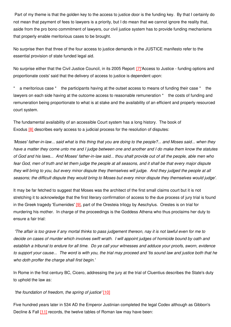Part of my theme is that the golden key to the access to justice door is the funding key. By that I certainly do not mean that payment of fees to lawyers is a priority, but I do mean that we cannot ignore the reality that, aside from the pro bono commitment of lawyers, our civil justice system has to provide funding mechanisms that properly enable meritorious cases to be brought.

No surprise then that three of the four access to justice demands in the JUSTICE manifesto refer to the essential provision of state funded legal aid.

No surprise either that the Civil Justice Council, in its 2005 Report [\[7\]](http://www.gresham.ac.uk/event.asp?PageId=45&EventId=608#_ftn7#_ftn7)'Access to Justice - funding options and proportionate costs' said that the delivery of access to justice is dependent upon:

a meritorious case \* the participants having at the outset access to means of funding their case \* the lawyers on each side having at the outcome access to reasonable remuneration \* the costs of funding and remuneration being proportionate to what is at stake and the availability of an efficient and properly resourced court system.

The fundamental availability of an accessible Court system has a long history. The book of Exodus [\[8\]](http://www.gresham.ac.uk/event.asp?PageId=45&EventId=608#_ftn8#_ftn8) describes early access to a judicial process for the resolution of disputes:

'Moses' father-in-law... said what is this thing that you are doing to the people?... and Moses said... when they have a matter they come unto me and I judge between one and another and I do make them know the statutes of God and his laws... And Moses' father-in-law said... thou shalt provide out of all the people, able men who fear God, men of truth and let them judge the people at all seasons, and it shall be that every major dispute they will bring to you, but every minor dispute they themselves will judge. And they judged the people at all seasons: the difficult dispute they would bring to Moses but every minor dispute they themselves would judge'.

It may be far fetched to suggest that Moses was the architect of the first small claims court but it is not stretching it to acknowledge that the first literary confirmation of access to the due process of jury trial is found in the Greek tragedy 'Eumenides' [\[9\]](http://www.gresham.ac.uk/event.asp?PageId=45&EventId=608#_ftn9#_ftn9), part of the Oresteia trilogy by Aeschylus. Orestes is on trial for murdering his mother. In charge of the proceedings is the Goddess Athena who thus proclaims her duty to ensure a fair trial:

'The affair is too grave if any mortal thinks to pass judgement thereon, nay it is not lawful even for me to decide on cases of murder which involves swift wrath. I will appoint judges of homicide bound by oath and establish a tribunal to endure for all time. Do ye call your witnesses and adduce your proofs, sworn, evidence to support your cause... The word is with you, the trial may proceed and 'tis sound law and justice both that he *who doth proffer the charge shall first begin.'*

In Rome in the first century BC, Cicero, addressing the jury at the trial of Cluentius describes the State's duty to uphold the law as:

#### *'the foundation of freedom, the spring of justice'* [\[10\]](http://www.gresham.ac.uk/event.asp?PageId=45&EventId=608#_ftn10#_ftn10)

Five hundred years later in 534 AD the Emperor Justinian completed the legal Codex although as Gibbon's Decline & Fall [\[11\]](http://www.gresham.ac.uk/event.asp?PageId=45&EventId=608#_ftn11#_ftn11) records, the twelve tables of Roman law may have been: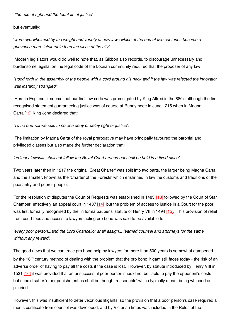## *'the rule of right and the fountain of justice'*

but eventually:

'were overwhelmed by the weight and variety of new laws which at the end of five centuries became a *grievance more intolerable than the vices of the city'.*

Modern legislators would do well to note that, as Gibbon also records, to discourage unnecessary and burdensome legislation the legal code of the Locrian community required that the proposer of any law:

'stood forth in the assembly of the people with a cord around his neck and if the law was rejected the innovator *was instantly strangled'.*

Here in England, it seems that our first law code was promulgated by King Alfred in the 880's although the first recognised statement guaranteeing justice was of course at Runnymede in June 1215 when in Magna Carta [\[12\]](http://www.gresham.ac.uk/event.asp?PageId=45&EventId=608#_ftn12#_ftn12) King John declared that:

*'To no one will we sell, to no one deny or delay right or justice',*

The limitation by Magna Carta of the royal prerogative may have principally favoured the baronial and privileged classes but also made the further declaration that:

# *'ordinary lawsuits shall not follow the Royal Court around but shall be held in a fixed place'*

Two years later then in 1217 the original 'Great Charter' was split into two parts, the larger being Magna Carta and the smaller, known as the 'Charter of the Forests' which enshrined in law the customs and traditions of the peasantry and poorer people.

For the resolution of disputes the Court of Requests was established in 1483 [\[13\]](http://www.gresham.ac.uk/event.asp?PageId=45&EventId=608#_ftn13#_ftn13) followed by the Court of Star Chamber, effectively an appeal court in 1487 [\[14\]](http://www.gresham.ac.uk/event.asp?PageId=45&EventId=608#_ftn14#_ftn14) but the problem of access to justice in a Court for the poor was first formally recognised by the 'in forma pauperis' statute of Henry VII in 1494 [\[15\]](http://www.gresham.ac.uk/event.asp?PageId=45&EventId=608#_ftn15#_ftn15). This provision of relief from court fees and access to lawyers acting pro bono was said to be available to:

*'every poor person...and the Lord Chancellor shall assign... learned counsel and attorneys for the same without any reward'.*

The good news that we can trace pro bono help by lawyers for more than 500 years is somewhat dampened by the 16<sup>th</sup> century method of dealing with the problem that the pro bono litigant still faces today - the risk of an adverse order of having to pay all the costs if the case is lost. However, by statute introduced by Henry VIII in 1531 [\[16\]](http://www.gresham.ac.uk/event.asp?PageId=45&EventId=608#_ftn16#_ftn16) it was provided that an unsuccessful poor person should not be liable to pay the opponent's costs but should suffer 'other punishment as shall be thought reasonable' which typically meant being whipped or pilloried.

However, this was insufficient to deter vexatious litigants, so the provision that a poor person's case required a merits certificate from counsel was developed, and by Victorian times was included in the Rules of the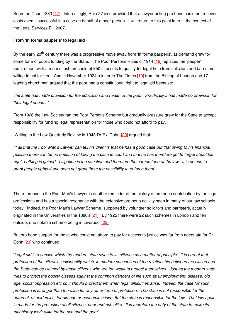Supreme Court 1883 [\[17\]](http://www.gresham.ac.uk/event.asp?PageId=45&EventId=608#_ftn17#_ftn17). Interestingly, Rule 27 also provided that a lawyer acting pro bono could not recover costs even if successful in a case on behalf of a poor person. I will return to this point later in the context of the Legal Services Bill 2007.

## **From 'in forma pauperis' to legal aid**

By the early 20<sup>th</sup> century there was a progressive move away from 'in forma pauperis', as demand grew for some form of public funding by the State. The Poor Persons Rules of 1914 [\[18\]](http://www.gresham.ac.uk/event.asp?PageId=45&EventId=608#_ftn18#_ftn18) replaced the 'pauper' requirement with a means test threshold of £50 in assets to qualify for legal help from solicitors and barristers willing to act for free. And in November 1924 a letter to The Times [\[19\]](http://www.gresham.ac.uk/event.asp?PageId=45&EventId=608#_ftn19#_ftn19) from the Bishop of London and 17 leading churchmen argued that the poor had a constitutional right to legal aid because:

'the state has made provision for the education and health of the poor. Practically it has made no provision for *their legal needs...'*

From 1926 the Law Society ran the Poor Persons Scheme but gradually pressure grew for the State to accept responsibility for funding legal representation for those who could not afford to pay.

Writing in the Law Quarterly Review in 1943 Dr E J Cohn [\[20\]](http://www.gresham.ac.uk/event.asp?PageId=45&EventId=608#_ftn20#_ftn20) argued that:

'If all that the Poor Man's Lawyer can tell his client is that he has a good case but that owing to his financial position there can be no question of taking the case to court and that he has therefore got to forget about his right, nothing is gained. Litigation is the sanction and therefore the cornerstone of the law. It is no use to *grant people rights if one does not grant them the possibility to enforce them'.*

The reference to the Poor Man's Lawyer is another reminder of the history of pro bono contribution by the legal professions and has a special resonance with the extensive pro bono activity seen in many of our law schools today. Indeed, the Poor Man's Lawyer Scheme, supported by volunteer solicitors and barristers, actually originated in the Universities in the 1880's [\[21\]](http://www.gresham.ac.uk/event.asp?PageId=45&EventId=608#_ftn21#_ftn21). By 1925 there were 22 such schemes in London and ten outside, one notable scheme being in Liverpool [\[22\]](http://www.gresham.ac.uk/event.asp?PageId=45&EventId=608#_ftn22#_ftn22).

But pro bono support for those who could not afford to pay for access to justice was far from adequate for Dr Cohn [\[23\]](http://www.gresham.ac.uk/event.asp?PageId=45&EventId=608#_ftn23#_ftn23) who continued:

'Legal aid is a service which the modern state owes to its citizens as a matter of principle. It is part of that protection of the citizen's individuality which, in modern conception of the relationship between the citizen and the State can be claimed by those citizens who are too weak to protect themselves. Just as the modern state *tries to protect the poorer classes against the common dangers of life such as unemployment, disease, old* age, social oppression etc so it should protect them when legal difficulties arise. Indeed, the case for such protection is stronger than the case for any other form of protection. The state is not responsible for the outbreak of epidemics, for old age or economic crisis. But the state is responsible for the law. That law again is made for the protection of all citizens, poor and rich alike. It is therefore the duty of the state to make its *machinery work alike for the rich and the poor'.*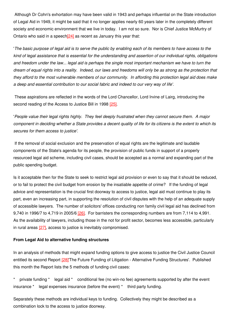Although Dr Cohn's exhortation may have been valid in 1943 and perhaps influential on the State introduction of Legal Aid in 1949, it might be said that it no longer applies nearly 60 years later in the completely different society and economic environment that we live in today. I am not so sure. Nor is Chief Justice McMurtry of Ontario who said in a speech $[24]$  as recent as January this year that:

'The basic purpose of legal aid is to serve the public by enabling each of its members to have access to the kind of legal assistance that is essential for the understanding and assertion of our individual rights, obligations and freedom under the law... legal aid is perhaps the single most important mechanism we have to turn the dream of equal rights into a reality. Indeed, our laws and freedoms will only be as strong as the protection that they afford to the most vulnerable members of our community. In affording this protection legal aid does make *a deep and essential contribution to our social fabric and indeed to our very way of life'.*

These aspirations are reflected in the words of the Lord Chancellor, Lord Irvine of Lairg, introducing the second reading of the Access to Justice Bill in 1998 [\[25\]](http://www.gresham.ac.uk/event.asp?PageId=45&EventId=608#_ftn25#_ftn25).

'People value their legal rights highly. They feel deeply frustrated when they cannot secure them. A major component in deciding whether a State provides a decent quality of life for its citizens is the extent to which its *secures for them access to justice'.*

If the removal of social exclusion and the preservation of equal rights are the legitimate and laudable components of the State's agenda for its people, the provision of public funds in support of a properly resourced legal aid scheme, including civil cases, should be accepted as a normal and expanding part of the public spending budget.

Is it acceptable then for the State to seek to restrict legal aid provision or even to say that it should be reduced, or to fail to protect the civil budget from erosion by the insatiable appetite of crime? If the funding of legal advice and representation is the crucial first doorway to access to justice, legal aid must continue to play its part, even an increasing part, in supporting the resolution of civil disputes with the help of an adequate supply of accessible lawyers. The number of solicitors' offices conducting non family civil legal aid has declined from 9,740 in 1996/7 to 4,719 in 2005/6 [\[26\]](http://www.gresham.ac.uk/event.asp?PageId=45&EventId=608#_ftn26#_ftn26). For barristers the corresponding numbers are from 7,114 to 4,991. As the availability of lawyers, including those in the not for profit sector, becomes less accessible, particularly in rural areas [\[27\]](http://www.gresham.ac.uk/event.asp?PageId=45&EventId=608#_ftn27#_ftn27), access to justice is inevitably compromised.

#### **From Legal Aid to alternative funding structures**

In an analysis of methods that might expand funding options to give access to justice the Civil Justice Council entitled its second Report [\[28\]](http://www.gresham.ac.uk/event.asp?PageId=45&EventId=608#_ftn28#_ftn28)'The Future Funding of Litigation - Alternative Funding Structures'. Published this month the Report lists the 5 methods of funding civil cases:

private funding \* legal aid \* conditional fee (no win-no fee) agreements supported by after the event insurance \* legal expenses insurance (before the event) \* third party funding.

Separately these methods are individual keys to funding. Collectively they might be described as a combination lock to the access to justice doorway.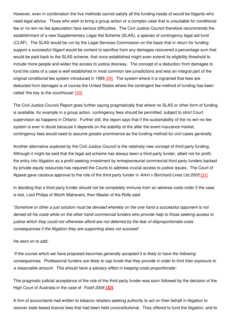However, even in combination the five methods cannot satisfy all the funding needs of would be litigants who need legal advice. Those who wish to bring a group action or a complex case that is unsuitable for conditional fee or no win-no fee speculation face serious difficulties. The Civil Justice Council therefore recommends the establishment of a new Supplementary Legal Aid Scheme (SLAS), a species of contingency legal aid fund (CLAF). The SLAS would be run by the Legal Services Commission on the basis that in return for funding support a successful litigant would be content to sacrifice from any damages recovered a percentage sum that would be paid back to the SLAS scheme, that once established might even extend its eligibility threshold to include more people and widen the access to justice doorway. The concept of a deduction from damages to fund the costs of a case is well established in most common law jurisdictions and was an integral part of the original conditional fee system introduced in 1995 [\[29\]](http://www.gresham.ac.uk/event.asp?PageId=45&EventId=608#_ftn29#_ftn29). The system where it is ingrained that fees are deducted from damages is of course the United States where the contingent fee method of funding has been called 'the key to the courthouse' [\[30\]](http://www.gresham.ac.uk/event.asp?PageId=45&EventId=608#_ftn30#_ftn30).

The Civil Justice Council Report goes further saying pragmatically that where no SLAS or other form of funding is available, for example in a group action, contingency fees should be permitted, subject to strict Court supervision as happens in Ontario. Further still, the report says that if the sustainability of the no win-no fee system is ever in doubt because it depends on the stability of the after the event insurance market, contingency fees would need to assume greater prominence as the funding method for civil cases generally.

Another alternative explored by the Civil Justice Council is the relatively new concept of third party funding. Although it might be said that the legal aid scheme has always been a third party funder, albeit not for profit, the entry into litigation as a profit seeking investment by entrepreneurial commercial third party funders backed by private equity resources has required the Courts to address crucial access to justice issues. The Court of Appeal gave cautious approval to the role of the third party funder in *Arkin v Borchard Lines Ltd 2005* [\[31\]](http://www.gresham.ac.uk/event.asp?PageId=45&EventId=608#_ftn31#_ftn31).

In deciding that a third party funder should not be completely immune from an adverse costs order if the case is lost, Lord Philips of Worth Matravers, then Master of the Rolls said:

'Somehow or other a just solution must be devised whereby on the one hand a successful opponent is not denied all his costs while on the other hand commercial funders who provide help to those seeking access to *justice which they could not otherwise afford are not deterred by the fear of disproportionate costs consequences if the litigation they are supporting does not succeed'.*

He went on to add:

'*If the course which we have proposed becomes generally accepted it is likely to have the following* consequences. Professional funders are likely to cap funds that they provide in order to limit their exposure to *a reasonable amount. This should have a salutary effect in keeping costs proportionate'.*

This pragmatic judicial acceptance of the role of the third party funder was soon followed by the decision of the High Court of Australia in the case of *Fostif 2006 [\[32\]](http://www.gresham.ac.uk/event.asp?PageId=45&EventId=608#_ftn32#_ftn32).*

A firm of accountants had written to tobacco retailers seeking authority to act on their behalf in litigation to recover state based licence fees that had been held unconstitutional. They offered to fund the litigation, and to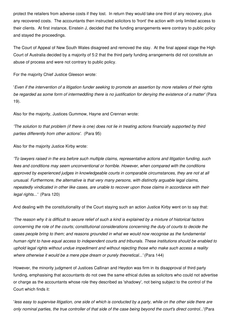protect the retailers from adverse costs if they lost. In return they would take one third of any recovery, plus any recovered costs. The accountants then instructed solicitors to 'front' the action with only limited access to their clients. At first instance, Einstein J, decided that the funding arrangements were contrary to public policy and stayed the proceedings.

The Court of Appeal of New South Wales disagreed and removed the stay. At the final appeal stage the High Court of Australia decided by a majority of 5:2 that the third party funding arrangements did not constitute an abuse of process and were not contrary to public policy.

For the majority Chief Justice Gleeson wrote:

'Even if the intervention of a litigation funder seeking to promote an assertion by more retailers of their rights be regarded as some form of intermeddling there is no justification for denying the existence of a matter' (Para 19).

Also for the majority, Justices Gummow, Hayne and Crennan wrote:

The solution to that problem (if there is one) does not lie in treating actions financially supported by third *parties differently from other actions'*. (Para 95)

Also for the majority Justice Kirby wrote:

*'To lawyers raised in the era before such multiple claims, representative actions and litigation funding, such fees and conditions may seem unconventional or horrible. However, when compared with the conditions approved by experienced judges in knowledgeable courts in comparable circumstances, they are not at all unusual. Furthermore, the alternative is that very many persons, with distinctly arguable legal claims,* repeatedly vindicated in other like cases, are unable to recover upon those claims in accordance with their *legal rights...'* (Para 120)

And dealing with the constitutionality of the Court staying such an action Justice Kirby went on to say that:

The reason why it is difficult to secure relief of such a kind is explained by a mixture of historical factors *concerning the role of the courts; constitutional considerations concerning the duty of courts to decide the cases people bring to them; and reasons grounded in what we would now recognise as the fundamental* human right to have equal access to independent courts and tribunals. These institutions should be enabled to *uphold legal rights without undue impediment and without rejecting those who make such access a reality where otherwise it would be a mere pipe dream or purely theoretical...'* (Para 144)

However, the minority judgment of Justices Callinan and Heydon was firm in its disapproval of third party funding, emphasising that accountants do not owe the same ethical duties as solicitors who could not advertise or charge as the accountants whose role they described as 'shadowy', not being subject to the control of the Court which finds it:

'less easy to supervise litigation, one side of which is conducted by a party, while on the other side there are only nominal parties, the true controller of that side of the case being beyond the court's direct control...'(Para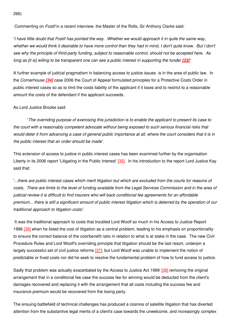266)

Commenting on *Fostif* in a recent interview, the Master of the Rolls, Sir Anthony Clarke said:

'I have little doubt that Fostif has pointed the way. Whether we would approach it in quite the same way, whether we would think it desirable to have more control than they had in mind, I don't quite know. But I don't see why the principle of third-party funding, subject to reasonable control, should not be accepted here. As long as [it is] willing to be transparent one can see a public interest in supporting the funder [\[33\]](http://www.gresham.ac.uk/event.asp?PageId=45&EventId=608#_ftn33#_ftn33)'

A further example of judicial pragmatism in balancing access to justice issues is in the area of public law. In the *Cornerhouse [\[34\]](http://www.gresham.ac.uk/event.asp?PageId=45&EventId=608#_ftn34#_ftn34)* case 2006 the Court of Appeal formulated principles for a Protective Costs Order in public interest cases so as to limit the costs liability of the applicant if it loses and to restrict to a reasonable amount the costs of the defendant if the applicant succeeds.

As Lord Justice Brooke said:

'*The overriding purpose of exercising this jurisdiction is to enable the applicant to present its case to the court with a reasonably competent advocate without being exposed to such serious financial risks that* would deter it from advancing a case of general public importance at all, where the court considers that it is in *the public interest that an order should be made'.*

This extension of access to justice in public interest cases has been examined further by the organisation Liberty in its 2006 report 'Litigating in the Public Interest' [\[35\]](http://www.gresham.ac.uk/event.asp?PageId=45&EventId=608#_ftn35#_ftn35). In his introduction to the report Lord Justice Kay said that:

'...there are public interest cases which merit litigation but which are excluded from the courts for reasons of costs. There are limits to the level of funding available from the Legal Services Commission and in the area of judicial review it is difficult to find insurers who will back conditional fee agreements for an affordable premium... there is still a significant amount of public interest litigation which is deterred by the operation of our *traditional approach to litigation costs'.*

It was the traditional approach to costs that troubled Lord Woolf so much in his Access to Justice Report 1996 [\[36\]](http://www.gresham.ac.uk/event.asp?PageId=45&EventId=608#_ftn36#_ftn36) when he listed the cost of litigation as a central problem, leading to his emphasis on proportionality to ensure the correct balance of the cost/benefit ratio in relation to what is at stake in the case. The new Civil Procedure Rules and Lord Woolf's overriding principle that litigation should be the last resort, underpin a largely successful set of civil justice reforms [\[37\]](http://www.gresham.ac.uk/event.asp?PageId=45&EventId=608#_ftn37#_ftn37); but Lord Woolf was unable to implement the notion of predictable or fixed costs nor did he seek to resolve the fundamental problem of how to fund access to justice.

Sadly that problem was actually exacerbated by the Access to Justice Act 1999 [\[38\]](http://www.gresham.ac.uk/event.asp?PageId=45&EventId=608#_ftn38#_ftn38) removing the original arrangement that in a conditional fee case the success fee for winning would be deducted from the client's damages recovered and replacing it with the arrangement that all costs including the success fee and insurance premium would be recovered from the losing party.

The ensuing battlefield of technical challenges has produced a cosmos of satellite litigation that has diverted attention from the substantive legal merits of a client's case towards the unwelcome, and increasingly complex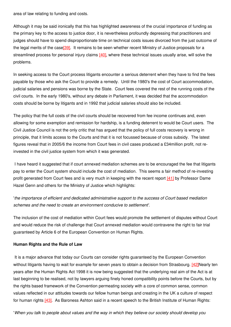area of law relating to funding and costs.

Although it may be said ironically that this has highlighted awareness of the crucial importance of funding as the primary key to the access to justice door, it is nevertheless profoundly depressing that practitioners and judges should have to spend disproportionate time on technical costs issues divorced from the just outcome of the legal merits of the case[\[39\]](http://www.gresham.ac.uk/event.asp?PageId=45&EventId=608#_ftn39#_ftn39). It remains to be seen whether recent Ministry of Justice proposals for a streamlined process for personal injury claims [\[40\]](http://www.gresham.ac.uk/event.asp?PageId=45&EventId=608#_ftn40#_ftn40), where these technical issues usually arise, will solve the problems.

In seeking access to the Court process litigants encounter a serious deterrent when they have to find the fees payable by those who ask the Court to provide a remedy. Until the 1980's the cost of Court accommodation, judicial salaries and pensions was borne by the State. Court fees covered the rest of the running costs of the civil courts. In the early 1980's, without any debate in Parliament, it was decided that the accommodation costs should be borne by litigants and in 1992 that judicial salaries should also be included.

The policy that the full costs of the civil courts should be recovered from fee income continues and, even allowing for some exemption and remission for hardship, is a funding deterrent to would be Court users. The Civil Justice Council is not the only critic that has argued that the policy of full costs recovery is wrong in principle, that it limits access to the Courts and that it is not focussed because of cross subsidy. The latest figures reveal that in 2005/6 the income from Court fees in civil cases produced a £34million profit, not reinvested in the civil justice system from which it was generated.

I have heard it suggested that if court annexed mediation schemes are to be encouraged the fee that litigants pay to enter the Court system should include the cost of mediation. This seems a fair method of re-investing profit generated from Court fees and is very much in keeping with the recent report [\[41\]](http://www.gresham.ac.uk/event.asp?PageId=45&EventId=608#_ftn41#_ftn41) by Professor Dame Hazel Genn and others for the Ministry of Justice which highlights:

'*the importance of efficient and dedicated administrative support to the success of Court based mediation schemes and the need to create an environment conducive to settlement'.*

The inclusion of the cost of mediation within Court fees would promote the settlement of disputes without Court and would reduce the risk of challenge that Court annexed mediation would contravene the right to fair trial guaranteed by Article 6 of the European Convention on Human Rights.

#### **Human Rights and the Rule of Law**

It is a major advance that today our Courts can consider rights guaranteed by the European Convention without litigants having to wait for example for seven years to obtain a decision from Strasbourg. [\[42\]](http://www.gresham.ac.uk/event.asp?PageId=45&EventId=608#_ftn42#_ftn42)Nearly ten years after the Human Rights Act 1998 it is now being suggested that the underlying real aim of the Act is at last beginning to be realised, not by lawyers arguing finely honed compatibility points before the Courts, but by the rights based framework of the Convention permeating society with a core of common sense, common values reflected in our attitudes towards our fellow human beings and creating in the UK a culture of respect for human rights [\[43\]](http://www.gresham.ac.uk/event.asp?PageId=45&EventId=608#_ftn43#_ftn43). As Baroness Ashton said in a recent speech to the British Institute of Human Rights:

When you talk to people about values and the way in which they believe our society should develop you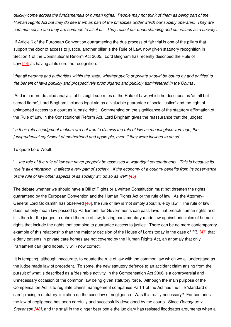quickly come across the fundamentals of human rights. People may not think of them as being part of the Human Rights Act but they do see them as part of the principles under which our society operates. They are common sense and they are common to all of us. They reflect our understanding and our values as a society'.

If Article 6 of the European Convention guaranteeing the due process of fair trial is one of the pillars that support the door of access to justice, another pillar is the Rule of Law, now given statutory recognition in Section 1 of the Constitutional Reform Act 2005. Lord Bingham has recently described the Rule of Law [\[44\]](http://www.gresham.ac.uk/event.asp?PageId=45&EventId=608#_ftn44#_ftn44) as having at its core the recognition:

'that all persons and authorities within the state, whether public or private should be bound by and entitled to *the benefit of laws publicly and prospectively promulgated and publicly administered in the Courts'.*

And in a more detailed analysis of his eight sub rules of the Rule of Law, which he describes as 'an all but sacred flame', Lord Bingham includes legal aid as a 'valuable guarantee of social justice' and the right of unimpeded access to a court as 'a basic right'. Commenting on the significance of the statutory affirmation of the Rule of Law in the Constitutional Reform Act, Lord Bingham gives the reassurance that the judges:

'in their role as judgment makers are not free to dismiss the rule of law as meaningless verbiage, the *jurisprudential equivalent of motherhood and apple pie, even if they were inclined to do so'*.

To quote Lord Woolf:

"... the role of the rule of law can never properly be assessed in watertight compartments. This is because its role is all embracing. It affects every part of society... if the economy of a country benefits from its observance *of the rule of law other aspects of its society will do so as well' [\[45\]](http://www.gresham.ac.uk/event.asp?PageId=45&EventId=608#_ftn45#_ftn45)*

The debate whether we should have a Bill of Rights or a written Constitution must not threaten the rights guaranteed by the European Convention and the Human Rights Act or the rule of law. As the Attorney-General Lord Goldsmith has observed  $[46]$ , the rule of law is 'not simply about rule by law'. The rule of law does not only mean law passed by Parliament, for Governments can pass laws that breach human rights and it is then for the judges to uphold the rule of law, testing parliamentary made law against principles of human rights that include the rights that combine to guarantee access to justice. There can be no more contemporary example of this relationship than the majority decision of the House of Lords today in the case of '*YL*' [\[47\]](http://www.gresham.ac.uk/event.asp?PageId=45&EventId=608#_ftn47#_ftn47) that elderly patients in private care homes are not covered by the Human Rights Act, an anomaly that only Parliament can (and hopefully will) now correct.

It is tempting, although inaccurate, to equate the rule of law with the common law which we all understand as the judge made law of precedent. To some, the new statutory defence to an accident claim arising from the pursuit of what is described as a 'desirable activity' in the Compensation Act 2006 is a controversial and unnecessary occasion of the common law being given statutory force. Although the main purpose of the Compensation Act is to regulate claims management companies Part 1 of the Act has the title 'standard of care' placing a statutory limitation on the case law of negligence. Was this really necessary? For centuries the law of negligence has been carefully and successfully developed by the courts. Since *Donoghue v Stevenson [\[48\]](http://www.gresham.ac.uk/event.asp?PageId=45&EventId=608#_ftn48#_ftn48),* and the snail in the ginger beer bottle the judiciary has resisted floodgates arguments when a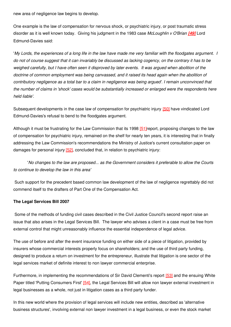new area of negligence law begins to develop.

One example is the law of compensation for nervous shock, or psychiatric injury, or post traumatic stress disorder as it is well known today. Giving his judgment in the 1983 case *McLoughlin v O'Brian [\[49\]](http://www.gresham.ac.uk/event.asp?PageId=45&EventId=608#_ftn49#_ftn49)* Lord Edmund-Davies said:

'My Lords, the experiences of a long life in the law have made me very familiar with the floodgates argument. I do not of course suggest that it can invariably be discussed as lacking cogency, on the contrary it has to be weighed carefully, but I have often seen it disproved by later events. It was argued when abolition of the *doctrine of common employment was being canvassed, and it raised its head again when the abolition of* contributory negligence as a total bar to a claim in negligence was being argued'. I remain unconvinced that the number of claims in 'shock' cases would be substantially increased or enlarged were the respondents here *held liable'.*

Subsequent developments in the case law of compensation for psychiatric injury [\[50\]](http://www.gresham.ac.uk/event.asp?PageId=45&EventId=608#_ftn50#_ftn50) have vindicated Lord Edmund-Davies's refusal to bend to the floodgates argument.

Although it must be frustrating for the Law Commission that its 1998 [\[51\]](http://www.gresham.ac.uk/event.asp?PageId=45&EventId=608#_ftn51#_ftn51)report, proposing changes to the law of compensation for psychiatric injury, remained on the shelf for nearly ten years, it is interesting that in finally addressing the Law Commission's recommendations the Ministry of Justice's current consultation paper on damages for personal injury [\[52\]](http://www.gresham.ac.uk/event.asp?PageId=45&EventId=608#_ftn52#_ftn52), concluded that, in relation to psychiatric injury:

'*No changes to the law are proposed... as the Government considers it preferable to allow the Courts to continue to develop the law in this area'*

Such support for the precedent based common law development of the law of negligence regrettably did not commend itself to the drafters of Part One of the Compensation Act.

#### **The Legal Services Bill 2007**

Some of the methods of funding civil cases described in the Civil Justice Council's second report raise an issue that also arises in the Legal Services Bill. The lawyer who advises a client in a case must be free from external control that might unreasonably influence the essential independence of legal advice.

The use of before and after the event insurance funding on either side of a piece of litigation, provided by insurers whose commercial interests properly focus on shareholders; and the use of third party funding, designed to produce a return on investment for the entrepreneur, illustrate that litigation is one sector of the legal services market of definite interest to non lawyer commercial enterprise.

Furthermore, in implementing the recommendations of Sir David Clementi's report [\[53\]](http://www.gresham.ac.uk/event.asp?PageId=45&EventId=608#_ftn53#_ftn53) and the ensuing White Paper titled 'Putting Consumers First' [\[54\]](http://www.gresham.ac.uk/event.asp?PageId=45&EventId=608#_ftn54#_ftn54), the Legal Services Bill will allow non lawyer external investment in legal businesses as a whole, not just in litigation cases as a third party funder.

In this new world where the provision of legal services will include new entities, described as 'alternative business structures', involving external non lawyer investment in a legal business, or even the stock market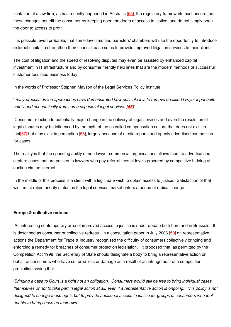floatation of a law firm, as has recently happened in Australia [\[55\]](http://www.gresham.ac.uk/event.asp?PageId=45&EventId=608#_ftn55#_ftn55), the regulatory framework must ensure that these changes benefit the consumer by keeping open the doors of access to justice, and do not simply open the door to access to profit.

It is possible, even probable, that some law firms and barristers' chambers will use the opportunity to introduce external capital to strengthen their financial base so as to provide improved litigation services to their clients.

The cost of litigation and the speed of resolving disputes may even be assisted by enhanced capital investment in IT infrastructure and by consumer friendly help lines that are the modern methods of successful customer focussed business today.

In the words of Professor Stephen Mayson of the Legal Services Policy Institute:

'*many process driven approaches have demonstrated how possible it is to remove qualified lawyer input quite safely and economically from some aspects of legal services [\[56\]](http://www.gresham.ac.uk/event.asp?PageId=45&EventId=608#_ftn56#_ftn56)'.*

Consumer reaction to potentially major change in the delivery of legal services and even the resolution of legal disputes may be influenced by the myth of the so called compensation culture that does not exist in fac[t\[57\]](http://www.gresham.ac.uk/event.asp?PageId=45&EventId=608#_ftn57#_ftn57) but may exist in perception [\[58\]](http://www.gresham.ac.uk/event.asp?PageId=45&EventId=608#_ftn58#_ftn58), largely because of media reports and openly advertised competition for cases.

The reality is that the spending ability of non lawyer commercial organisations allows them to advertise and capture cases that are passed to lawyers who pay referral fees at levels procured by competitive bidding at auction via the internet.

In the middle of this process is a client with a legitimate wish to obtain access to justice. Satisfaction of that wish must retain priority status as the legal services market enters a period of radical change.

#### **Europe & collective redress**

An interesting contemporary area of improved access to justice is under debate both here and in Brussels. It is described as consumer or collective redress. In a consultation paper in July 2006 [\[59\]](http://www.gresham.ac.uk/event.asp?PageId=45&EventId=608#_ftn59#_ftn59) on representative actions the Department for Trade & Industry recognised the difficulty of consumers collectively bringing and enforcing a remedy for breaches of consumer protection legislation. It proposed that, as permitted by the Competition Act 1998, the Secretary of State should designate a body to bring a representative action on behalf of consumers who have suffered loss or damage as a result of an infringement of a competition prohibition saying that:

'Bringing a case to Court is a right not an obligation. Consumers would still be free to bring individual cases themselves or not to take part in legal action at all, even if a representative action is ongoing. This policy is not designed to change these rights but to provide additional access to justice for groups of consumers who feel *unable to bring cases on their own'.*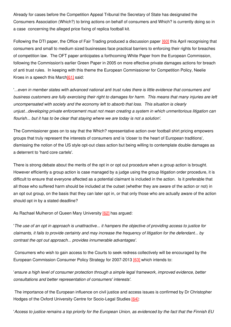Already for cases before the Competition Appeal Tribunal the Secretary of State has designated the Consumers Association (Which?) to bring actions on behalf of consumers and Which? is currently doing so in a case concerning the alleged price fixing of replica football kit.

Following the DTI paper, the Office of Fair Trading produced a discussion paper [\[60\]](http://www.gresham.ac.uk/event.asp?PageId=45&EventId=608#_ftn60#_ftn60) this April recognising that consumers and small to medium sized businesses face practical barriers to enforcing their rights for breaches of competition law. The OFT paper anticipates a forthcoming White Paper from the European Commission, following the Commission's earlier Green Paper in 2005 on more effective private damages actions for breach of anti trust rules. In keeping with this theme the European Commissioner for Competition Policy, Neelie Kroes in a speech this Marc[h\[61\]](http://www.gresham.ac.uk/event.asp?PageId=45&EventId=608#_ftn61#_ftn61) said:

...even in member states with advanced national anti trust rules there is little evidence that consumers and business customers are fully exercising their right to damages for harm. This means that many injuries are left *uncompensated with society and the economy left to absorb that loss. This situation is clearly unjust...developing private enforcement must not mean creating a system in which unmeritorious litigation can flourish... but it has to be clear that staying where we are today is not a solution'.*

The Commissioner goes on to say that the Which? representative action over football shirt pricing empowers groups that truly represent the interests of consumers and is 'closer to the heart of European traditions', dismissing the notion of the US style opt-out class action but being willing to contemplate double damages as a deterrent to 'hard core cartels'.

There is strong debate about the merits of the opt in or opt out procedure when a group action is brought. However efficiently a group action is case managed by a judge using the group litigation order procedure, it is difficult to ensure that everyone affected as a potential claimant is included in the action. Is it preferable that all those who suffered harm should be included at the outset (whether they are aware of the action or not) in an opt out group, on the basis that they can later opt in, or that only those who are actually aware of the action should opt in by a stated deadline?

As Rachael Mulheron of Queen Mary University [\[62\]](http://www.gresham.ac.uk/event.asp?PageId=45&EventId=608#_ftn62#_ftn62) has argued:

The use of an opt in approach is unattractive... it hampers the objective of providing access to justice for claimants, it fails to provide certainty and may increase the frequency of litigation for the defendant... by *contrast the opt out approach... provides innumerable advantages'.*

Consumers who wish to gain access to the Courts to seek redress collectively will be encouraged by the European Commission Consumer Policy Strategy for 2007-2013 [\[63\]](http://www.gresham.ac.uk/event.asp?PageId=45&EventId=608#_ftn63#_ftn63) which intends to:

'*ensure a high level of consumer protection through a simple legal framework, improved evidence, better consultations and better representation of consumers' interests'.*

The importance of the European influence on civil justice and access issues is confirmed by Dr Christopher Hodges of the Oxford University Centre for Socio-Legal Studies [\[64\]](http://www.gresham.ac.uk/event.asp?PageId=45&EventId=608#_ftn64#_ftn64):

'Access to justice remains a top priority for the European Union, as evidenced by the fact that the Finnish EU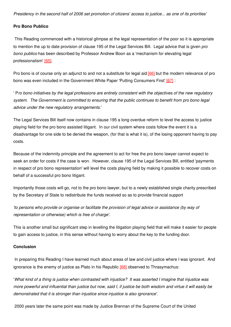Presidency in the second half of 2006 set promotion of citizens' access to justice... as one of its priorities'

#### **Pro Bono Publico**

This Reading commenced with a historical glimpse at the legal representation of the poor so it is appropriate to mention the up to date provision of clause 195 of the Legal Services Bill. Legal advice that is given *pro bono publico* has been described by Professor Andrew Boon as a 'mechanism for elevating legal professionalism' [\[65\]](http://www.gresham.ac.uk/event.asp?PageId=45&EventId=608#_ftn65#_ftn65).

Pro bono is of course only an adjunct to and not a substitute for legal aid [\[66\]](http://www.gresham.ac.uk/event.asp?PageId=45&EventId=608#_ftn66#_ftn66) but the modern relevance of pro bono was even included in the Government White Paper 'Putting Consumers First' [\[67\]](http://www.gresham.ac.uk/event.asp?PageId=45&EventId=608#_ftn67#_ftn67) :

' Pro bono initiatives by the legal professions are entirely consistent with the objectives of the new regulatory *system. The Government is committed to ensuring that the public continues to benefit from pro bono legal advice under the new regulatory arrangements.*'

The Legal Services Bill itself now contains in clause 195 a long overdue reform to level the access to justice playing field for the pro bono assisted litigant. In our civil system where costs follow the event it is a disadvantage for one side to be denied the weapon, (for that is what it is), of the losing opponent having to pay costs.

Because of the indemnity principle and the agreement to act for free the pro bono lawyer cannot expect to seek an order for costs if the case is won. However, clause 195 of the Legal Services Bill, entitled 'payments in respect of pro bono representation' will level the costs playing field by making it possible to recover costs on behalf of a successful pro bono litigant.

Importantly those costs will go, not to the pro bono lawyer, but to a newly established single charity prescribed by the Secretary of State to redistribute the funds received so as to provide financial support

to persons who provide or organise or facilitate the provision of legal advice or assistance (by way of *representation or otherwise) which is free of charge'.*

This is another small but significant step in levelling the litigation playing field that will make it easier for people to gain access to justice, in this sense without having to worry about the key to the funding door.

#### **Conclusion**

In preparing this Reading I have learned much about areas of law and civil justice where I was ignorant. And ignorance is the enemy of justice as Plato in his Republic [\[68\]](http://www.gresham.ac.uk/event.asp?PageId=45&EventId=608#_ftn68#_ftn68) observed to Thrasymachus:

'What kind of a thing is justice when contrasted with injustice? It was asserted I imagine that injustice was more powerful and influential than justice but now, said I, if justice be both wisdom and virtue it will easily be *demonstrated that it is stronger than injustice since injustice is also ignorance'.*

2000 years later the same point was made by Justice Brennan of the Supreme Court of the United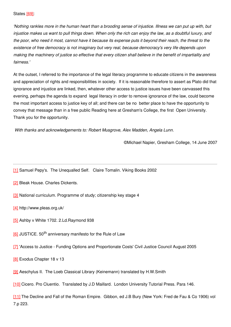'Nothing rankles more in the human heart than a brooding sense of injustice. Illness we can put up with, but injustice makes us want to pull things down. When only the rich can enjoy the law, as a doubtful luxury, and the poor, who need it most, cannot have it because its expense puts it beyond their reach, the threat to the *existence of free democracy is not imaginary but very real, because democracy's very life depends upon* making the machinery of justice so effective that every citizen shall believe in the benefit of impartiality and *fairness.'*

At the outset, I referred to the importance of the legal literacy programme to educate citizens in the awareness and appreciation of rights and responsibilities in society. If it is reasonable therefore to assert as Plato did that ignorance and injustice are linked, then, whatever other access to justice issues have been canvassed this evening, perhaps the agenda to expand legal literacy in order to remove ignorance of the law, could become the most important access to justice key of all; and there can be no better place to have the opportunity to convey that message than in a free public Reading here at Gresham's College, the first Open University. Thank you for the opportunity.

*With thanks and acknowledgements to: Robert Musgrove, Alex Madden, Angela Lunn.*

©Michael Napier, Gresham College, 14 June 2007

[\[1\]](http://www.gresham.ac.uk/event.asp?PageId=45&EventId=608#_ftnref1#_ftnref1) Samuel Pepy's. The Unequalled Self. Claire Tomalin. Viking Books 2002

[\[2\]](http://www.gresham.ac.uk/event.asp?PageId=45&EventId=608#_ftnref2#_ftnref2) Bleak House. Charles Dickents.

[\[3\]](http://www.gresham.ac.uk/event.asp?PageId=45&EventId=608#_ftnref3#_ftnref3) National curriculum. Programme of study; citizenship key stage 4

[\[4\]](http://www.gresham.ac.uk/event.asp?PageId=45&EventId=608#_ftnref4#_ftnref4) http://www.pleas.org.uk/

- [\[5\]](http://www.gresham.ac.uk/event.asp?PageId=45&EventId=608#_ftnref5#_ftnref5) Ashby v White 1702. 2.Ld.Raymond 938
- [\[6\]](http://www.gresham.ac.uk/event.asp?PageId=45&EventId=608#_ftnref6#_ftnref6) JUSTICE. 50<sup>th</sup> anniversary manifesto for the Rule of Law
- [\[7\]](http://www.gresham.ac.uk/event.asp?PageId=45&EventId=608#_ftnref7#_ftnref7) 'Access to Justice Funding Options and Proportionate Costs' Civil Justice Council August 2005
- [\[8\]](http://www.gresham.ac.uk/event.asp?PageId=45&EventId=608#_ftnref8#_ftnref8) Exodus Chapter 18 v 13
- [\[9\]](http://www.gresham.ac.uk/event.asp?PageId=45&EventId=608#_ftnref9#_ftnref9) Aeschylus II. The Loeb Classical Library (Keinemann) translated by H.W.Smith
- [\[10\]](http://www.gresham.ac.uk/event.asp?PageId=45&EventId=608#_ftnref10#_ftnref10) Cicero. Pro Cluentio. Translated by J.D Maillard. London University Tutorial Press. Para 146.

[\[11\]](http://www.gresham.ac.uk/event.asp?PageId=45&EventId=608#_ftnref11#_ftnref11) The Decline and Fall of the Roman Empire. Gibbon, ed J.B Bury (New York: Fred de Fau & Co 1906) vol 7.p 223.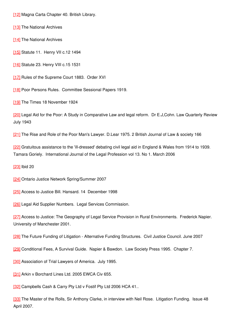[\[12\]](http://www.gresham.ac.uk/event.asp?PageId=45&EventId=608#_ftnref12#_ftnref12) Magna Carta Chapter 40. British Library.

[\[13\]](http://www.gresham.ac.uk/event.asp?PageId=45&EventId=608#_ftnref13#_ftnref13) The National Archives

- [\[14\]](http://www.gresham.ac.uk/event.asp?PageId=45&EventId=608#_ftnref14#_ftnref14) The National Archives
- [\[15\]](http://www.gresham.ac.uk/event.asp?PageId=45&EventId=608#_ftnref15#_ftnref15) Statute 11. Henry VII c.12 1494
- [\[16\]](http://www.gresham.ac.uk/event.asp?PageId=45&EventId=608#_ftnref16#_ftnref16) Statute 23. Henry VIII c.15 1531

[\[17\]](http://www.gresham.ac.uk/event.asp?PageId=45&EventId=608#_ftnref17#_ftnref17) Rules of the Supreme Court 1883. Order XVI

[\[18\]](http://www.gresham.ac.uk/event.asp?PageId=45&EventId=608#_ftnref18#_ftnref18) Poor Persons Rules. Committee Sessional Papers 1919.

[\[19\]](http://www.gresham.ac.uk/event.asp?PageId=45&EventId=608#_ftnref19#_ftnref19) The Times 18 November 1924

[\[20\]](http://www.gresham.ac.uk/event.asp?PageId=45&EventId=608#_ftnref20#_ftnref20) Legal Aid for the Poor: A Study in Comparative Law and legal reform. Dr E.J,Cohn. Law Quarterly Review July 1943

[\[21\]](http://www.gresham.ac.uk/event.asp?PageId=45&EventId=608#_ftnref21#_ftnref21) The Rise and Role of the Poor Man's Lawyer. D.Lear 1975. 2 British Journal of Law & society 166

[\[22\]](http://www.gresham.ac.uk/event.asp?PageId=45&EventId=608#_ftnref22#_ftnref22) Gratuitous assistance to the 'ill-dressed' debating civil legal aid in England & Wales from 1914 to 1939. Tamara Goriely. International Journal of the Legal Profession vol 13. No 1. March 2006

[\[23\]](http://www.gresham.ac.uk/event.asp?PageId=45&EventId=608#_ftnref23#_ftnref23) Ibid 20

[\[24\]](http://www.gresham.ac.uk/event.asp?PageId=45&EventId=608#_ftnref24#_ftnref24) Ontario Justice Network Spring/Summer 2007

[\[25\]](http://www.gresham.ac.uk/event.asp?PageId=45&EventId=608#_ftnref25#_ftnref25) Access to Justice Bill. Hansard. 14 December 1998

[\[26\]](http://www.gresham.ac.uk/event.asp?PageId=45&EventId=608#_ftnref26#_ftnref26) Legal Aid Supplier Numbers. Legal Services Commission.

[\[27\]](http://www.gresham.ac.uk/event.asp?PageId=45&EventId=608#_ftnref27#_ftnref27) Access to Justice: The Geography of Legal Service Provision in Rural Environments. Frederick Napier. University of Manchester 2001.

[\[28\]](http://www.gresham.ac.uk/event.asp?PageId=45&EventId=608#_ftnref28#_ftnref28) The Future Funding of Litigation - Alternative Funding Structures. Civil Justice Council. June 2007

[\[29\]](http://www.gresham.ac.uk/event.asp?PageId=45&EventId=608#_ftnref29#_ftnref29) Conditional Fees, A Survival Guide. Napier & Bawdon. Law Society Press 1995. Chapter 7.

[\[30\]](http://www.gresham.ac.uk/event.asp?PageId=45&EventId=608#_ftnref30#_ftnref30) Association of Trial Lawyers of America. July 1995.

[\[31\]](http://www.gresham.ac.uk/event.asp?PageId=45&EventId=608#_ftnref31#_ftnref31) Arkin v Borchard Lines Ltd. 2005 EWCA Civ 655.

[\[32\]](http://www.gresham.ac.uk/event.asp?PageId=45&EventId=608#_ftnref32#_ftnref32) Campbells Cash & Carry Pty Ltd v Fostif Pty Ltd 2006 HCA 41..

[\[33\]](http://www.gresham.ac.uk/event.asp?PageId=45&EventId=608#_ftnref33#_ftnref33) The Master of the Rolls, Sir Anthony Clarke, in interview with Neil Rose. Litigation Funding. Issue 48 April 2007.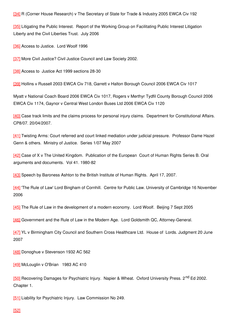[\[34\]](http://www.gresham.ac.uk/event.asp?PageId=45&EventId=608#_ftnref34#_ftnref34) R (Corner House Research) v The Secretary of State for Trade & Industry 2005 EWCA Civ 192

[\[35\]](http://www.gresham.ac.uk/event.asp?PageId=45&EventId=608#_ftnref35#_ftnref35) Litigating the Public Interest. Report of the Working Group on Facilitating Public Interest Litigation Liberty and the Civil Liberties Trust. July 2006

[\[36\]](http://www.gresham.ac.uk/event.asp?PageId=45&EventId=608#_ftnref36#_ftnref36) Access to Justice. Lord Woolf 1996

[\[37\]](http://www.gresham.ac.uk/event.asp?PageId=45&EventId=608#_ftnref37#_ftnref37) More Civil Justice? Civil Justice Council and Law Society 2002.

[\[38\]](http://www.gresham.ac.uk/event.asp?PageId=45&EventId=608#_ftnref38#_ftnref38) Access to Justice Act 1999 sections 28-30

[\[39\]](http://www.gresham.ac.uk/event.asp?PageId=45&EventId=608#_ftnref39#_ftnref39) Hollins v Russell 2003 EWCA Civ 718, Garrett v Halton Borough Council 2006 EWCA Civ 1017

Myatt v National Coach Board 2006 EWCA Civ 1017, Rogers v Merthyr Tydfil County Borough Council 2006 EWCA Civ 1174, Gaynor v Central West London Buses Ltd 2006 EWCA Civ 1120

[\[40\]](http://www.gresham.ac.uk/event.asp?PageId=45&EventId=608#_ftnref40#_ftnref40) Case track limits and the claims process for personal injury claims. Department for Constitutional Affairs. CP8/07. 20/04/2007.

[\[41\]](http://www.gresham.ac.uk/event.asp?PageId=45&EventId=608#_ftnref41#_ftnref41) Twisting Arms: Court referred and court linked mediation under judicial pressure. Professor Dame Hazel Genn & others. Ministry of Justice. Series 1/07 May 2007

[\[42\]](http://www.gresham.ac.uk/event.asp?PageId=45&EventId=608#_ftnref42#_ftnref42) Case of X v The United Kingdom. Publication of the European Court of Human Rights Series B. Oral arguments and documents. Vol 41. 1980-82

[\[43\]](http://www.gresham.ac.uk/event.asp?PageId=45&EventId=608#_ftnref43#_ftnref43) Speech by Baroness Ashton to the British Institute of Human Rights. April 17, 2007.

[\[44\]](http://www.gresham.ac.uk/event.asp?PageId=45&EventId=608#_ftnref44#_ftnref44) 'The Rule of Law' Lord Bingham of Cornhill. Centre for Public Law. University of Cambridge 16 November 2006

[\[45\]](http://www.gresham.ac.uk/event.asp?PageId=45&EventId=608#_ftnref45#_ftnref45) The Rule of Law in the development of a modern economy. Lord Woolf. Beijing 7 Sept 2005

[\[46\]](http://www.gresham.ac.uk/event.asp?PageId=45&EventId=608#_ftnref46#_ftnref46) Government and the Rule of Law in the Modern Age. Lord Goldsmith QC, Attorney-General.

[\[47\]](http://www.gresham.ac.uk/event.asp?PageId=45&EventId=608#_ftnref47#_ftnref47) YL v Birmingham City Council and Southern Cross Healthcare Ltd. House of Lords. Judgment 20 June 2007

[\[48\]](http://www.gresham.ac.uk/event.asp?PageId=45&EventId=608#_ftnref48#_ftnref48) Donoghue v Stevenson 1932 AC 562

[\[49\]](http://www.gresham.ac.uk/event.asp?PageId=45&EventId=608#_ftnref49#_ftnref49) McLouglin v O'Brian 1983 AC 410

[\[50\]](http://www.gresham.ac.uk/event.asp?PageId=45&EventId=608#_ftnref50#_ftnref50) Recovering Damages for Psychiatric Injury. Napier & Wheat. Oxford University Press. 2<sup>nd</sup> Ed 2002. Chapter 1.

[\[51\]](http://www.gresham.ac.uk/event.asp?PageId=45&EventId=608#_ftnref51#_ftnref51) Liability for Psychiatric Injury. Law Commission No 249.

[\[52\]](http://www.gresham.ac.uk/event.asp?PageId=45&EventId=608#_ftnref52#_ftnref52)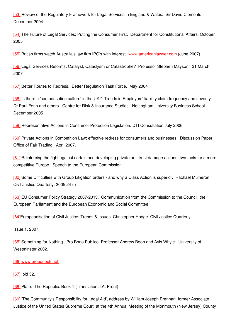[\[53\]](http://www.gresham.ac.uk/event.asp?PageId=45&EventId=608#_ftnref53#_ftnref53) Review of the Regulatory Framework for Legal Services in England & Wales. Sir David Clementi. December 2004.

[\[54\]](http://www.gresham.ac.uk/event.asp?PageId=45&EventId=608#_ftnref54#_ftnref54) The Future of Legal Services; Putting the Consumer First. Department for Constitutional Affairs. October 2005

[\[55\]](http://www.gresham.ac.uk/event.asp?PageId=45&EventId=608#_ftnref55#_ftnref55) British firms watch Australia's law firm IPO's with interest. [www.americanlawyer.com](http://www.americanlawyer.com/) (June 2007)

[\[56\]](http://www.gresham.ac.uk/event.asp?PageId=45&EventId=608#_ftnref56#_ftnref56) Legal Services Reforms: Catalyst, Cataclysm or Catastrophe? Professor Stephen Mayson. 21 March 2007

[\[57\]](http://www.gresham.ac.uk/event.asp?PageId=45&EventId=608#_ftnref57#_ftnref57) Better Routes to Redress, Better Regulation Task Force. May 2004

[\[58\]](http://www.gresham.ac.uk/event.asp?PageId=45&EventId=608#_ftnref58#_ftnref58) Is there a 'compensation culture' in the UK? Trends in Employers' liability claim frequency and severity. Dr Paul Fenn and others. Centre for Risk & Insurance Studies. Nottingham University Business School. December 2005

[\[59\]](http://www.gresham.ac.uk/event.asp?PageId=45&EventId=608#_ftnref59#_ftnref59) Representative Actions in Consumer Protection Legislation. DTI Consultation July 2006.

[\[60\]](http://www.gresham.ac.uk/event.asp?PageId=45&EventId=608#_ftnref60#_ftnref60) Private Actions in Competition Law; effective redress for consumers and businesses. Discussion Paper, Office of Fair Trading. April 2007.

[\[61\]](http://www.gresham.ac.uk/event.asp?PageId=45&EventId=608#_ftnref61#_ftnref61) Reinforcing the fight against cartels and developing private anti trust damage actions: two tools for a more competitive Europe. Speech to the European Commission.

[\[62\]](http://www.gresham.ac.uk/event.asp?PageId=45&EventId=608#_ftnref62#_ftnref62) Some Difficulties with Group Litigation orders - and why a Class Action is superior. Rachael Mulheron. Civil Justice Quarterly. 2005.24 (i)

[\[63\]](http://www.gresham.ac.uk/event.asp?PageId=45&EventId=608#_ftnref63#_ftnref63) EU Consumer Policy Strategy 2007-2013. Communication from the Commission to the Council, the European Parliament and the European Economic and Social Committee.

[\[64\]](http://www.gresham.ac.uk/event.asp?PageId=45&EventId=608#_ftnref64#_ftnref64)Europeanisation of Civil Justice: Trends & Issues Christopher Hodge Civil Justice Quarterly.

Issue 1. 2007.

[\[65\]](http://www.gresham.ac.uk/event.asp?PageId=45&EventId=608#_ftnref65#_ftnref65) Something for Nothing. Pro Bono Publico. Professor Andrew Boon and Avis Whyle. University of Westminster 2002.

#### [\[66\]](http://www.gresham.ac.uk/event.asp?PageId=45&EventId=608#_ftnref66#_ftnref66) [www.probonouk.net](http://www.probonouk.net/)

[\[67\]](http://www.gresham.ac.uk/event.asp?PageId=45&EventId=608#_ftnref67#_ftnref67) Ibid 52.

[\[68\]](http://www.gresham.ac.uk/event.asp?PageId=45&EventId=608#_ftnref68#_ftnref68) Plato. The Republic. Book 1 (Translation J.A. Prout)

[\[69\]](http://www.gresham.ac.uk/event.asp?PageId=45&EventId=608#_ftnref69#_ftnref69) 'The Community's Responsibility for Legal Aid', address by William Joseph Brennan, former Associate Justice of the United States Supreme Court, at the 4th Annual Meeting of the Monmouth (New Jersey) County